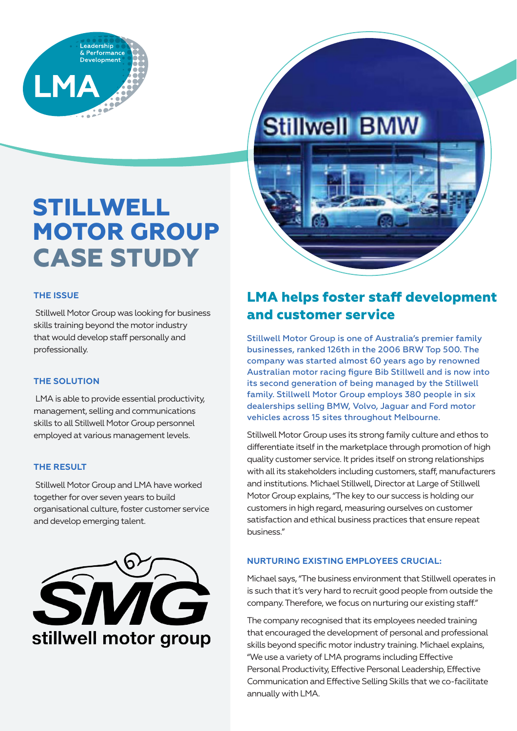

# **Stillwell BMW**

## **STILLWELL MOTOR GROUP CASE STUDY**

#### **THE ISSUE**

 Stillwell Motor Group was looking for business skills training beyond the motor industry that would develop staff personally and professionally.

#### **THE SOLUTION**

 LMA is able to provide essential productivity, management, selling and communications skills to all Stillwell Motor Group personnel employed at various management levels.

#### **THE RESULT**

 Stillwell Motor Group and LMA have worked together for over seven years to build organisational culture, foster customer service and develop emerging talent.



### **LMA helps foster staff development and customer service**

Stillwell Motor Group is one of Australia's premier family businesses, ranked 126th in the 2006 BRW Top 500. The company was started almost 60 years ago by renowned Australian motor racing figure Bib Stillwell and is now into its second generation of being managed by the Stillwell family. Stillwell Motor Group employs 380 people in six dealerships selling BMW, Volvo, Jaguar and Ford motor vehicles across 15 sites throughout Melbourne.

Stillwell Motor Group uses its strong family culture and ethos to differentiate itself in the marketplace through promotion of high quality customer service. It prides itself on strong relationships with all its stakeholders including customers, staff, manufacturers and institutions. Michael Stillwell, Director at Large of Stillwell Motor Group explains, "The key to our success is holding our customers in high regard, measuring ourselves on customer satisfaction and ethical business practices that ensure repeat business."

#### **NURTURING EXISTING EMPLOYEES CRUCIAL:**

Michael says, "The business environment that Stillwell operates in is such that it's very hard to recruit good people from outside the company. Therefore, we focus on nurturing our existing staff."

The company recognised that its employees needed training that encouraged the development of personal and professional skills beyond specific motor industry training. Michael explains, "We use a variety of LMA programs including Effective Personal Productivity, Effective Personal Leadership, Effective Communication and Effective Selling Skills that we co-facilitate annually with LMA.